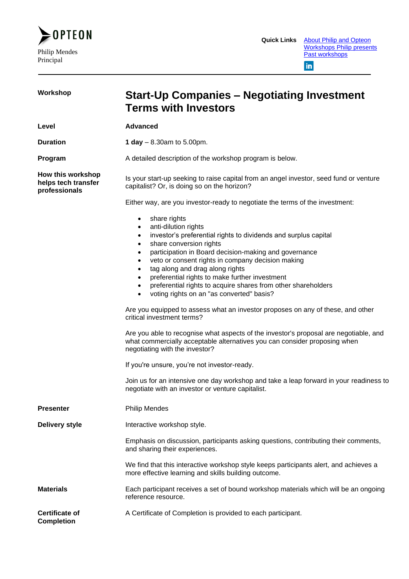

| Workshop                                                  | <b>Start-Up Companies – Negotiating Investment</b><br><b>Terms with Investors</b>                                                                                                                                                                                                                                                                                                                                                                                                                                                                                                                                                                                                                                                                                                                                                                                                                                                                                                                                                                         |  |
|-----------------------------------------------------------|-----------------------------------------------------------------------------------------------------------------------------------------------------------------------------------------------------------------------------------------------------------------------------------------------------------------------------------------------------------------------------------------------------------------------------------------------------------------------------------------------------------------------------------------------------------------------------------------------------------------------------------------------------------------------------------------------------------------------------------------------------------------------------------------------------------------------------------------------------------------------------------------------------------------------------------------------------------------------------------------------------------------------------------------------------------|--|
| Level                                                     | <b>Advanced</b>                                                                                                                                                                                                                                                                                                                                                                                                                                                                                                                                                                                                                                                                                                                                                                                                                                                                                                                                                                                                                                           |  |
| <b>Duration</b>                                           | 1 day $-8.30$ am to 5.00pm.                                                                                                                                                                                                                                                                                                                                                                                                                                                                                                                                                                                                                                                                                                                                                                                                                                                                                                                                                                                                                               |  |
| Program                                                   | A detailed description of the workshop program is below.                                                                                                                                                                                                                                                                                                                                                                                                                                                                                                                                                                                                                                                                                                                                                                                                                                                                                                                                                                                                  |  |
| How this workshop<br>helps tech transfer<br>professionals | Is your start-up seeking to raise capital from an angel investor, seed fund or venture<br>capitalist? Or, is doing so on the horizon?                                                                                                                                                                                                                                                                                                                                                                                                                                                                                                                                                                                                                                                                                                                                                                                                                                                                                                                     |  |
|                                                           | Either way, are you investor-ready to negotiate the terms of the investment:                                                                                                                                                                                                                                                                                                                                                                                                                                                                                                                                                                                                                                                                                                                                                                                                                                                                                                                                                                              |  |
|                                                           | share rights<br>$\bullet$<br>anti-dilution rights<br>$\bullet$<br>investor's preferential rights to dividends and surplus capital<br>$\bullet$<br>share conversion rights<br>$\bullet$<br>participation in Board decision-making and governance<br>$\bullet$<br>veto or consent rights in company decision making<br>$\bullet$<br>tag along and drag along rights<br>preferential rights to make further investment<br>preferential rights to acquire shares from other shareholders<br>voting rights on an "as converted" basis?<br>Are you equipped to assess what an investor proposes on any of these, and other<br>critical investment terms?<br>Are you able to recognise what aspects of the investor's proposal are negotiable, and<br>what commercially acceptable alternatives you can consider proposing when<br>negotiating with the investor?<br>If you're unsure, you're not investor-ready.<br>Join us for an intensive one day workshop and take a leap forward in your readiness to<br>negotiate with an investor or venture capitalist. |  |
| <b>Presenter</b>                                          | <b>Philip Mendes</b>                                                                                                                                                                                                                                                                                                                                                                                                                                                                                                                                                                                                                                                                                                                                                                                                                                                                                                                                                                                                                                      |  |
| <b>Delivery style</b>                                     | Interactive workshop style.                                                                                                                                                                                                                                                                                                                                                                                                                                                                                                                                                                                                                                                                                                                                                                                                                                                                                                                                                                                                                               |  |
|                                                           | Emphasis on discussion, participants asking questions, contributing their comments,<br>and sharing their experiences.                                                                                                                                                                                                                                                                                                                                                                                                                                                                                                                                                                                                                                                                                                                                                                                                                                                                                                                                     |  |
|                                                           | We find that this interactive workshop style keeps participants alert, and achieves a<br>more effective learning and skills building outcome.                                                                                                                                                                                                                                                                                                                                                                                                                                                                                                                                                                                                                                                                                                                                                                                                                                                                                                             |  |
| <b>Materials</b>                                          | Each participant receives a set of bound workshop materials which will be an ongoing<br>reference resource.                                                                                                                                                                                                                                                                                                                                                                                                                                                                                                                                                                                                                                                                                                                                                                                                                                                                                                                                               |  |
| <b>Certificate of</b><br><b>Completion</b>                | A Certificate of Completion is provided to each participant.                                                                                                                                                                                                                                                                                                                                                                                                                                                                                                                                                                                                                                                                                                                                                                                                                                                                                                                                                                                              |  |